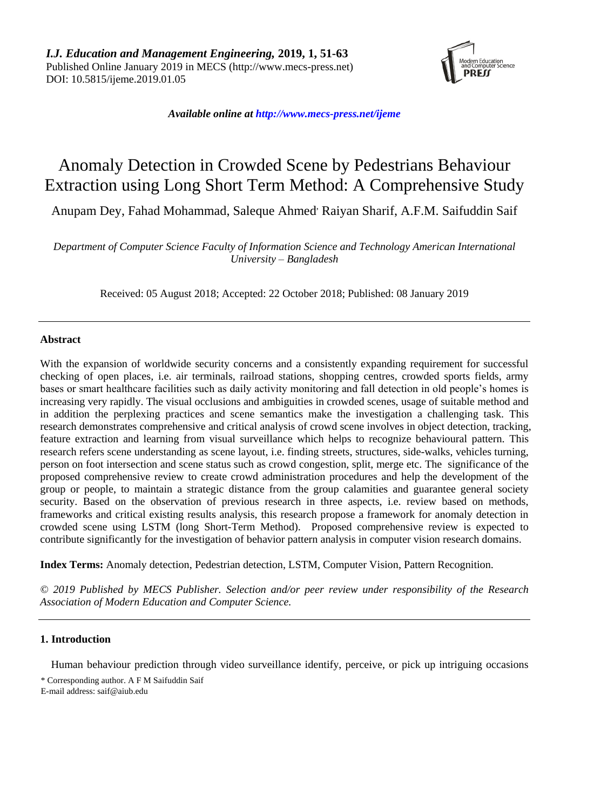

*Available online a[t http://www.mecs-press.net/ijeme](http://www.mecs-press.net/ijeme)*

# Anomaly Detection in Crowded Scene by Pedestrians Behaviour Extraction using Long Short Term Method: A Comprehensive Study

Anupam Dey, Fahad Mohammad, Saleque Ahmed' Raiyan Sharif, A.F.M. Saifuddin Saif

*Department of Computer Science Faculty of Information Science and Technology American International University – Bangladesh*

Received: 05 August 2018; Accepted: 22 October 2018; Published: 08 January 2019

## **Abstract**

With the expansion of worldwide security concerns and a consistently expanding requirement for successful checking of open places, i.e. air terminals, railroad stations, shopping centres, crowded sports fields, army bases or smart healthcare facilities such as daily activity monitoring and fall detection in old people's homes is increasing very rapidly. The visual occlusions and ambiguities in crowded scenes, usage of suitable method and in addition the perplexing practices and scene semantics make the investigation a challenging task. This research demonstrates comprehensive and critical analysis of crowd scene involves in object detection, tracking, feature extraction and learning from visual surveillance which helps to recognize behavioural pattern. This research refers scene understanding as scene layout, i.e. finding streets, structures, side-walks, vehicles turning, person on foot intersection and scene status such as crowd congestion, split, merge etc. The significance of the proposed comprehensive review to create crowd administration procedures and help the development of the group or people, to maintain a strategic distance from the group calamities and guarantee general society security. Based on the observation of previous research in three aspects, i.e. review based on methods, frameworks and critical existing results analysis, this research propose a framework for anomaly detection in crowded scene using LSTM (long Short-Term Method). Proposed comprehensive review is expected to contribute significantly for the investigation of behavior pattern analysis in computer vision research domains.

**Index Terms:** Anomaly detection, Pedestrian detection, LSTM, Computer Vision, Pattern Recognition.

*© 2019 Published by MECS Publisher. Selection and/or peer review under responsibility of the Research Association of Modern Education and Computer Science.*

# **1. Introduction**

Human behaviour prediction through video surveillance identify, perceive, or pick up intriguing occasions

<sup>\*</sup> Corresponding author. A F M Saifuddin Saif E-mail address: saif@aiub.edu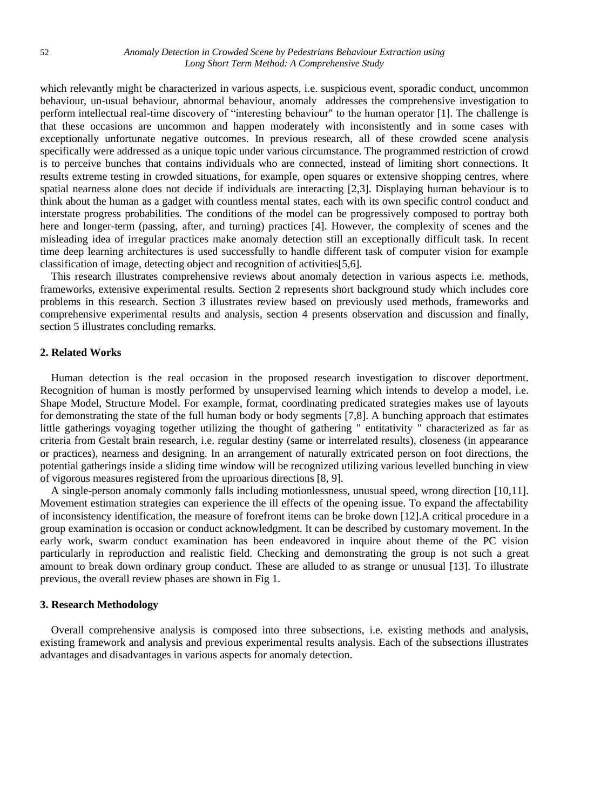which relevantly might be characterized in various aspects, *i.e.* suspicious event, sporadic conduct, uncommon behaviour, un-usual behaviour, abnormal behaviour, anomaly addresses the comprehensive investigation to perform intellectual real-time discovery of "interesting behaviour" to the human operator [1]. The challenge is that these occasions are uncommon and happen moderately with inconsistently and in some cases with exceptionally unfortunate negative outcomes. In previous research, all of these crowded scene analysis specifically were addressed as a unique topic under various circumstance. The programmed restriction of crowd is to perceive bunches that contains individuals who are connected, instead of limiting short connections. It results extreme testing in crowded situations, for example, open squares or extensive shopping centres, where spatial nearness alone does not decide if individuals are interacting [2,3]. Displaying human behaviour is to think about the human as a gadget with countless mental states, each with its own specific control conduct and interstate progress probabilities. The conditions of the model can be progressively composed to portray both here and longer-term (passing, after, and turning) practices [4]. However, the complexity of scenes and the misleading idea of irregular practices make anomaly detection still an exceptionally difficult task. In recent time deep learning architectures is used successfully to handle different task of computer vision for example classification of image, detecting object and recognition of activities[5,6].

This research illustrates comprehensive reviews about anomaly detection in various aspects i.e. methods, frameworks, extensive experimental results. Section 2 represents short background study which includes core problems in this research. Section 3 illustrates review based on previously used methods, frameworks and comprehensive experimental results and analysis, section 4 presents observation and discussion and finally, section 5 illustrates concluding remarks.

## **2. Related Works**

Human detection is the real occasion in the proposed research investigation to discover deportment. Recognition of human is mostly performed by unsupervised learning which intends to develop a model, i.e. Shape Model, Structure Model. For example, format, coordinating predicated strategies makes use of layouts for demonstrating the state of the full human body or body segments [7,8]. A bunching approach that estimates little gatherings voyaging together utilizing the thought of gathering " entitativity " characterized as far as criteria from Gestalt brain research, i.e. regular destiny (same or interrelated results), closeness (in appearance or practices), nearness and designing. In an arrangement of naturally extricated person on foot directions, the potential gatherings inside a sliding time window will be recognized utilizing various levelled bunching in view of vigorous measures registered from the uproarious directions [8, 9].

A single-person anomaly commonly falls including motionlessness, unusual speed, wrong direction [10,11]. Movement estimation strategies can experience the ill effects of the opening issue. To expand the affectability of inconsistency identification, the measure of forefront items can be broke down [12].A critical procedure in a group examination is occasion or conduct acknowledgment. It can be described by customary movement. In the early work, swarm conduct examination has been endeavored in inquire about theme of the PC vision particularly in reproduction and realistic field. Checking and demonstrating the group is not such a great amount to break down ordinary group conduct. These are alluded to as strange or unusual [13]. To illustrate previous, the overall review phases are shown in Fig 1.

## **3. Research Methodology**

Overall comprehensive analysis is composed into three subsections, i.e. existing methods and analysis, existing framework and analysis and previous experimental results analysis. Each of the subsections illustrates advantages and disadvantages in various aspects for anomaly detection.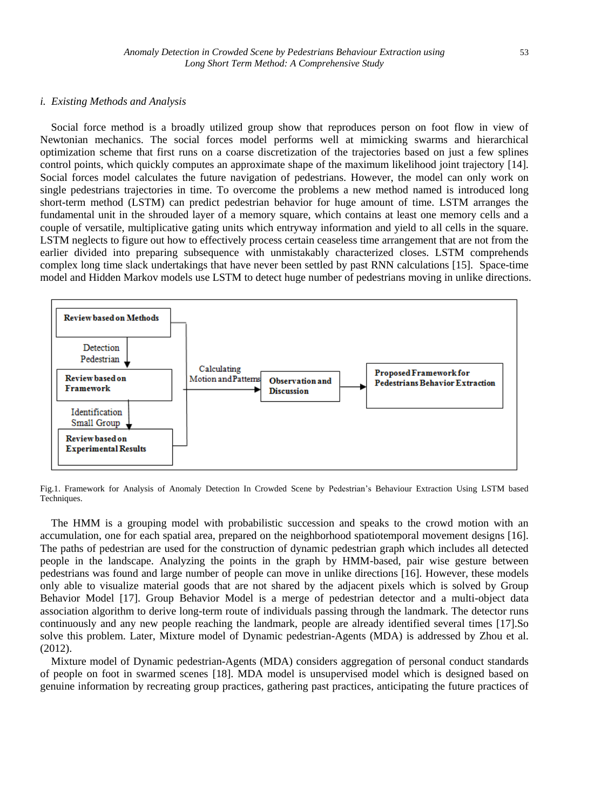#### *i. Existing Methods and Analysis*

Social force method is a broadly utilized group show that reproduces person on foot flow in view of Newtonian mechanics. The social forces model performs well at mimicking swarms and hierarchical optimization scheme that first runs on a coarse discretization of the trajectories based on just a few splines control points, which quickly computes an approximate shape of the maximum likelihood joint trajectory [14]. Social forces model calculates the future navigation of pedestrians. However, the model can only work on single pedestrians trajectories in time. To overcome the problems a new method named is introduced long short-term method (LSTM) can predict pedestrian behavior for huge amount of time. LSTM arranges the fundamental unit in the shrouded layer of a memory square, which contains at least one memory cells and a couple of versatile, multiplicative gating units which entryway information and yield to all cells in the square. LSTM neglects to figure out how to effectively process certain ceaseless time arrangement that are not from the earlier divided into preparing subsequence with unmistakably characterized closes. LSTM comprehends complex long time slack undertakings that have never been settled by past RNN calculations [15]. Space-time model and Hidden Markov models use LSTM to detect huge number of pedestrians moving in unlike directions.



Fig.1. Framework for Analysis of Anomaly Detection In Crowded Scene by Pedestrian's Behaviour Extraction Using LSTM based Techniques.

The HMM is a grouping model with probabilistic succession and speaks to the crowd motion with an accumulation, one for each spatial area, prepared on the neighborhood spatiotemporal movement designs [16]. The paths of pedestrian are used for the construction of dynamic pedestrian graph which includes all detected people in the landscape. Analyzing the points in the graph by HMM-based, pair wise gesture between pedestrians was found and large number of people can move in unlike directions [16]. However, these models only able to visualize material goods that are not shared by the adjacent pixels which is solved by Group Behavior Model [17]. Group Behavior Model is a merge of pedestrian detector and a multi-object data association algorithm to derive long-term route of individuals passing through the landmark. The detector runs continuously and any new people reaching the landmark, people are already identified several times [17].So solve this problem. Later, Mixture model of Dynamic pedestrian-Agents (MDA) is addressed by Zhou et al. (2012).

Mixture model of Dynamic pedestrian-Agents (MDA) considers aggregation of personal conduct standards of people on foot in swarmed scenes [18]. MDA model is unsupervised model which is designed based on genuine information by recreating group practices, gathering past practices, anticipating the future practices of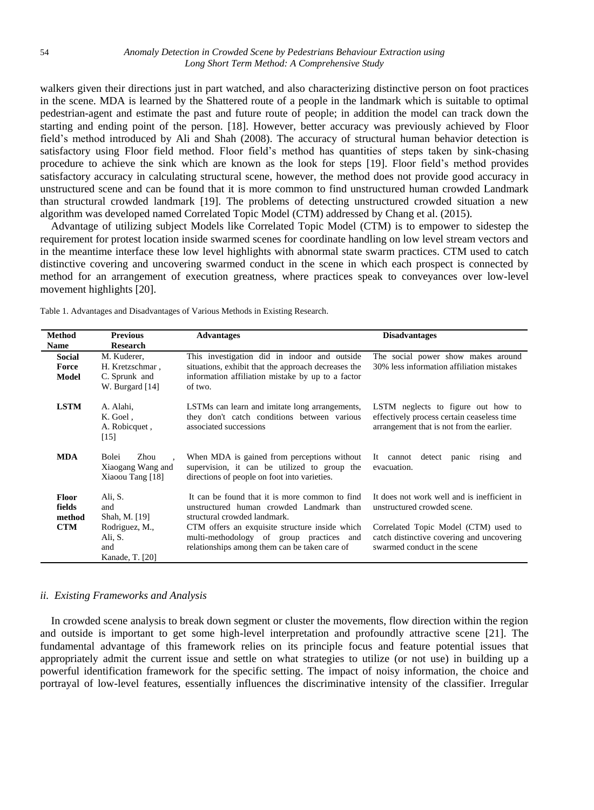walkers given their directions just in part watched, and also characterizing distinctive person on foot practices in the scene. MDA is learned by the Shattered route of a people in the landmark which is suitable to optimal pedestrian-agent and estimate the past and future route of people; in addition the model can track down the starting and ending point of the person. [18]. However, better accuracy was previously achieved by Floor field's method introduced by Ali and Shah (2008). The accuracy of structural human behavior detection is satisfactory using Floor field method. Floor field's method has quantities of steps taken by sink-chasing procedure to achieve the sink which are known as the look for steps [19]. Floor field's method provides satisfactory accuracy in calculating structural scene, however, the method does not provide good accuracy in unstructured scene and can be found that it is more common to find unstructured human crowded Landmark than structural crowded landmark [19]. The problems of detecting unstructured crowded situation a new algorithm was developed named Correlated Topic Model (CTM) addressed by Chang et al. (2015).

Advantage of utilizing subject Models like Correlated Topic Model (CTM) is to empower to sidestep the requirement for protest location inside swarmed scenes for coordinate handling on low level stream vectors and in the meantime interface these low level highlights with abnormal state swarm practices. CTM used to catch distinctive covering and uncovering swarmed conduct in the scene in which each prospect is connected by method for an arrangement of execution greatness, where practices speak to conveyances over low-level movement highlights [20].

|  | Table 1. Advantages and Disadvantages of Various Methods in Existing Research. |  |  |
|--|--------------------------------------------------------------------------------|--|--|
|  |                                                                                |  |  |

| Method<br><b>Name</b>            | <b>Previous</b><br><b>Research</b>                     | <b>Advantages</b>                                                                                                                           | <b>Disadvantages</b>                                                                                                          |
|----------------------------------|--------------------------------------------------------|---------------------------------------------------------------------------------------------------------------------------------------------|-------------------------------------------------------------------------------------------------------------------------------|
| <b>Social</b>                    | M. Kuderer,                                            | This investigation did in indoor and outside                                                                                                | The social power show makes around                                                                                            |
| Force                            | H. Kretzschmar,                                        | situations, exhibit that the approach decreases the                                                                                         | 30% less information affiliation mistakes                                                                                     |
| Model                            | C. Sprunk and                                          | information affiliation mistake by up to a factor                                                                                           |                                                                                                                               |
|                                  | W. Burgard [14]                                        | of two.                                                                                                                                     |                                                                                                                               |
| <b>LSTM</b>                      | A. Alahi,<br>K. Goel,<br>A. Robicquet,<br>[15]         | LSTMs can learn and imitate long arrangements,<br>they don't catch conditions between various<br>associated successions                     | LSTM neglects to figure out how to<br>effectively process certain ceaseless time<br>arrangement that is not from the earlier. |
| <b>MDA</b>                       | Bolei<br>Zhou<br>Xiaogang Wang and<br>Xiaoou Tang [18] | When MDA is gained from perceptions without<br>supervision, it can be utilized to group the<br>directions of people on foot into varieties. | detect panic<br>It cannot<br>rising<br>and<br>evacuation.                                                                     |
| <b>Floor</b><br>fields<br>method | Ali, S.<br>and<br>Shah, M. [19]                        | It can be found that it is more common to find<br>unstructured human crowded Landmark than<br>structural crowded landmark.                  | It does not work well and is inefficient in<br>unstructured crowded scene.                                                    |
| <b>CTM</b>                       | Rodriguez, M.,<br>Ali, S.<br>and<br>Kanade, T. [20]    | CTM offers an exquisite structure inside which<br>multi-methodology of group practices and<br>relationships among them can be taken care of | Correlated Topic Model (CTM) used to<br>catch distinctive covering and uncovering<br>swarmed conduct in the scene             |

## *ii. Existing Frameworks and Analysis*

In crowded scene analysis to break down segment or cluster the movements, flow direction within the region and outside is important to get some high-level interpretation and profoundly attractive scene [21]. The fundamental advantage of this framework relies on its principle focus and feature potential issues that appropriately admit the current issue and settle on what strategies to utilize (or not use) in building up a powerful identification framework for the specific setting. The impact of noisy information, the choice and portrayal of low-level features, essentially influences the discriminative intensity of the classifier. Irregular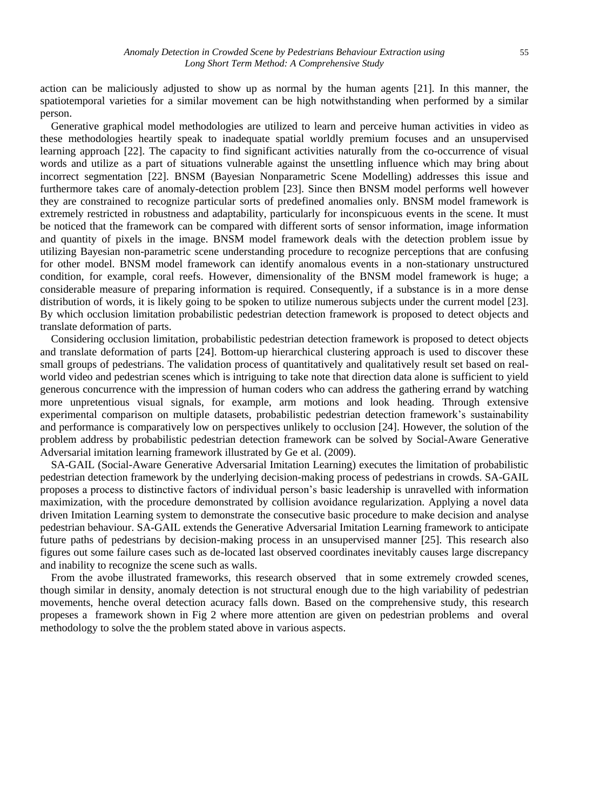action can be maliciously adjusted to show up as normal by the human agents [21]. In this manner, the spatiotemporal varieties for a similar movement can be high notwithstanding when performed by a similar person.

Generative graphical model methodologies are utilized to learn and perceive human activities in video as these methodologies heartily speak to inadequate spatial worldly premium focuses and an unsupervised learning approach [22]. The capacity to find significant activities naturally from the co-occurrence of visual words and utilize as a part of situations vulnerable against the unsettling influence which may bring about incorrect segmentation [22]. BNSM (Bayesian Nonparametric Scene Modelling) addresses this issue and furthermore takes care of anomaly-detection problem [23]. Since then BNSM model performs well however they are constrained to recognize particular sorts of predefined anomalies only. BNSM model framework is extremely restricted in robustness and adaptability, particularly for inconspicuous events in the scene. It must be noticed that the framework can be compared with different sorts of sensor information, image information and quantity of pixels in the image. BNSM model framework deals with the detection problem issue by utilizing Bayesian non-parametric scene understanding procedure to recognize perceptions that are confusing for other model. BNSM model framework can identify anomalous events in a non-stationary unstructured condition, for example, coral reefs. However, dimensionality of the BNSM model framework is huge; a considerable measure of preparing information is required. Consequently, if a substance is in a more dense distribution of words, it is likely going to be spoken to utilize numerous subjects under the current model [23]. By which occlusion limitation probabilistic pedestrian detection framework is proposed to detect objects and translate deformation of parts.

Considering occlusion limitation, probabilistic pedestrian detection framework is proposed to detect objects and translate deformation of parts [24]. Bottom-up hierarchical clustering approach is used to discover these small groups of pedestrians. The validation process of quantitatively and qualitatively result set based on realworld video and pedestrian scenes which is intriguing to take note that direction data alone is sufficient to yield generous concurrence with the impression of human coders who can address the gathering errand by watching more unpretentious visual signals, for example, arm motions and look heading. Through extensive experimental comparison on multiple datasets, probabilistic pedestrian detection framework's sustainability and performance is comparatively low on perspectives unlikely to occlusion [24]. However, the solution of the problem address by probabilistic pedestrian detection framework can be solved by Social-Aware Generative Adversarial imitation learning framework illustrated by Ge et al. (2009).

SA-GAIL (Social-Aware Generative Adversarial Imitation Learning) executes the limitation of probabilistic pedestrian detection framework by the underlying decision-making process of pedestrians in crowds. SA-GAIL proposes a process to distinctive factors of individual person's basic leadership is unravelled with information maximization, with the procedure demonstrated by collision avoidance regularization. Applying a novel data driven Imitation Learning system to demonstrate the consecutive basic procedure to make decision and analyse pedestrian behaviour. SA-GAIL extends the Generative Adversarial Imitation Learning framework to anticipate future paths of pedestrians by decision-making process in an unsupervised manner [25]. This research also figures out some failure cases such as de-located last observed coordinates inevitably causes large discrepancy and inability to recognize the scene such as walls.

From the avobe illustrated frameworks, this research observed that in some extremely crowded scenes, though similar in density, anomaly detection is not structural enough due to the high variability of pedestrian movements, henche overal detection acuracy falls down. Based on the comprehensive study, this research propeses a framework shown in Fig 2 where more attention are given on pedestrian problems and overal methodology to solve the the problem stated above in various aspects.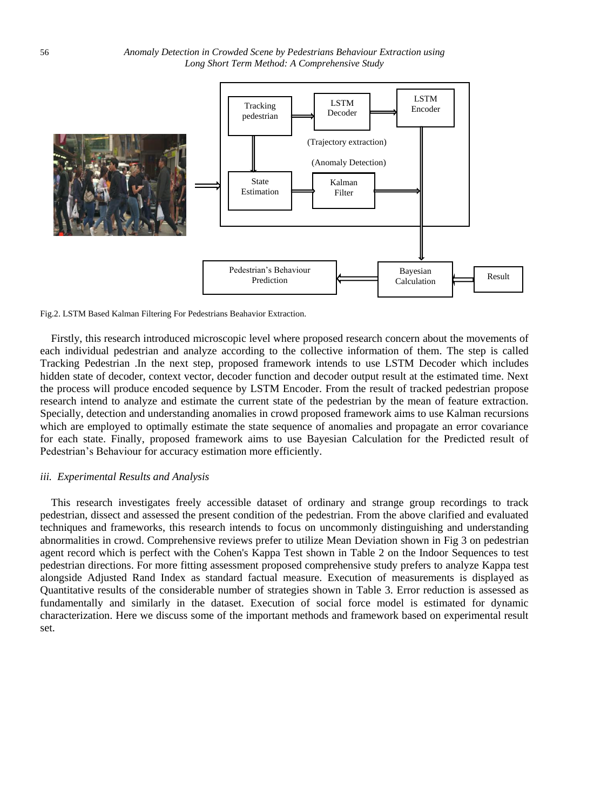

Fig.2. LSTM Based Kalman Filtering For Pedestrians Beahavior Extraction.

Firstly, this research introduced microscopic level where proposed research concern about the movements of each individual pedestrian and analyze according to the collective information of them. The step is called Tracking Pedestrian .In the next step, proposed framework intends to use LSTM Decoder which includes hidden state of decoder, context vector, decoder function and decoder output result at the estimated time. Next the process will produce encoded sequence by LSTM Encoder. From the result of tracked pedestrian propose research intend to analyze and estimate the current state of the pedestrian by the mean of feature extraction. Specially, detection and understanding anomalies in crowd proposed framework aims to use Kalman recursions which are employed to optimally estimate the state sequence of anomalies and propagate an error covariance for each state. Finally, proposed framework aims to use Bayesian Calculation for the Predicted result of Pedestrian's Behaviour for accuracy estimation more efficiently.

## *iii. Experimental Results and Analysis*

This research investigates freely accessible dataset of ordinary and strange group recordings to track pedestrian, dissect and assessed the present condition of the pedestrian. From the above clarified and evaluated techniques and frameworks, this research intends to focus on uncommonly distinguishing and understanding abnormalities in crowd. Comprehensive reviews prefer to utilize Mean Deviation shown in Fig 3 on pedestrian agent record which is perfect with the Cohen's Kappa Test shown in Table 2 on the Indoor Sequences to test pedestrian directions. For more fitting assessment proposed comprehensive study prefers to analyze Kappa test alongside Adjusted Rand Index as standard factual measure. Execution of measurements is displayed as Quantitative results of the considerable number of strategies shown in Table 3. Error reduction is assessed as fundamentally and similarly in the dataset. Execution of social force model is estimated for dynamic characterization. Here we discuss some of the important methods and framework based on experimental result set.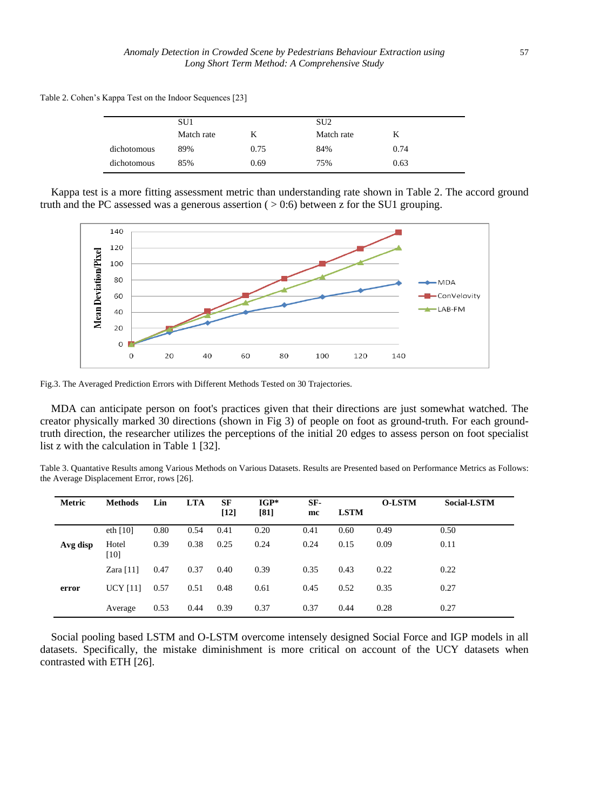Table 2. Cohen's Kappa Test on the Indoor Sequences [23]

|             | SU <sub>1</sub> |      | SU <sub>2</sub> |      |  |
|-------------|-----------------|------|-----------------|------|--|
|             | Match rate      |      | Match rate      | K    |  |
| dichotomous | 89%             | 0.75 | 84%             | 0.74 |  |
| dichotomous | 85%             | 0.69 | 75%             | 0.63 |  |

Kappa test is a more fitting assessment metric than understanding rate shown in Table 2. The accord ground truth and the PC assessed was a generous assertion ( $> 0.6$ ) between z for the SU1 grouping.



Fig.3. The Averaged Prediction Errors with Different Methods Tested on 30 Trajectories.

MDA can anticipate person on foot's practices given that their directions are just somewhat watched. The creator physically marked 30 directions (shown in Fig 3) of people on foot as ground-truth. For each groundtruth direction, the researcher utilizes the perceptions of the initial 20 edges to assess person on foot specialist list z with the calculation in Table 1 [32].

Table 3. Quantative Results among Various Methods on Various Datasets. Results are Presented based on Performance Metrics as Follows: the Average Displacement Error, rows [26].

| Metric   | <b>Methods</b>  | Lin  | <b>LTA</b> | SF<br>$[12]$ | $IGP*$<br>[81] | SF-<br>mc | <b>LSTM</b> | <b>O-LSTM</b> | <b>Social-LSTM</b> |
|----------|-----------------|------|------------|--------------|----------------|-----------|-------------|---------------|--------------------|
|          | eth $[10]$      | 0.80 | 0.54       | 0.41         | 0.20           | 0.41      | 0.60        | 0.49          | 0.50               |
| Avg disp | Hotel<br>$[10]$ | 0.39 | 0.38       | 0.25         | 0.24           | 0.24      | 0.15        | 0.09          | 0.11               |
|          | Zara $[11]$     | 0.47 | 0.37       | 0.40         | 0.39           | 0.35      | 0.43        | 0.22          | 0.22               |
| error    | <b>UCY [11]</b> | 0.57 | 0.51       | 0.48         | 0.61           | 0.45      | 0.52        | 0.35          | 0.27               |
|          | Average         | 0.53 | 0.44       | 0.39         | 0.37           | 0.37      | 0.44        | 0.28          | 0.27               |

Social pooling based LSTM and O-LSTM overcome intensely designed Social Force and IGP models in all datasets. Specifically, the mistake diminishment is more critical on account of the UCY datasets when contrasted with ETH [26].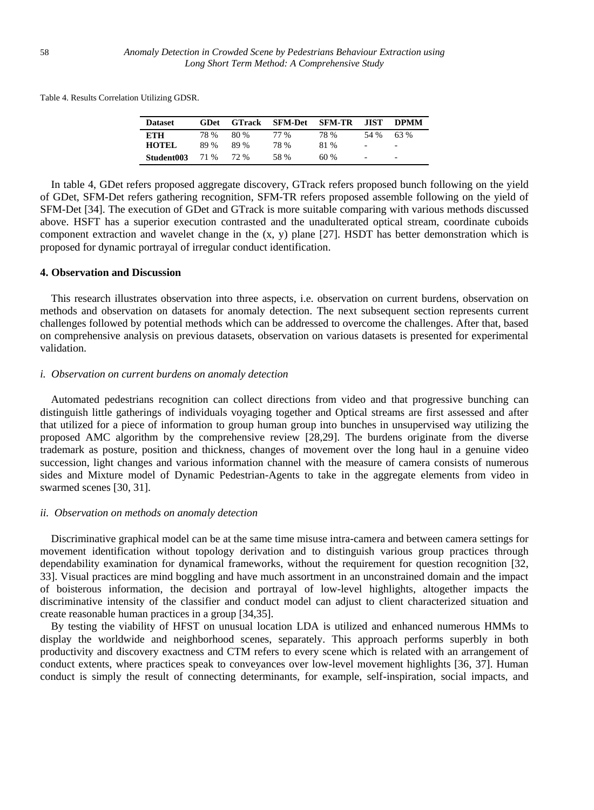Table 4. Results Correlation Utilizing GDSR.

| <b>Dataset</b> | GDet | <b>GTrack</b> | <b>SFM-Det</b> | <b>SFM-TR</b> | .HST                         | <b>DPMM</b>              |
|----------------|------|---------------|----------------|---------------|------------------------------|--------------------------|
| <b>ETH</b>     | 78 % | 80 %          | 77 %           | 78 %          | 54 %                         | 63 %                     |
| <b>HOTEL</b>   | 89 % | 89%           | 78 %           | 81 %          | $\qquad \qquad \blacksquare$ | $\overline{\phantom{a}}$ |
| Student003     | 71 % | 72.%          | 58 %           | 60%           | $\qquad \qquad \blacksquare$ | $\overline{\phantom{a}}$ |

In table 4, GDet refers proposed aggregate discovery, GTrack refers proposed bunch following on the yield of GDet, SFM-Det refers gathering recognition, SFM-TR refers proposed assemble following on the yield of SFM-Det [34]. The execution of GDet and GTrack is more suitable comparing with various methods discussed above. HSFT has a superior execution contrasted and the unadulterated optical stream, coordinate cuboids component extraction and wavelet change in the (x, y) plane [27]. HSDT has better demonstration which is proposed for dynamic portrayal of irregular conduct identification.

# **4. Observation and Discussion**

This research illustrates observation into three aspects, i.e. observation on current burdens, observation on methods and observation on datasets for anomaly detection. The next subsequent section represents current challenges followed by potential methods which can be addressed to overcome the challenges. After that, based on comprehensive analysis on previous datasets, observation on various datasets is presented for experimental validation.

## *i. Observation on current burdens on anomaly detection*

Automated pedestrians recognition can collect directions from video and that progressive bunching can distinguish little gatherings of individuals voyaging together and Optical streams are first assessed and after that utilized for a piece of information to group human group into bunches in unsupervised way utilizing the proposed AMC algorithm by the comprehensive review [28,29]. The burdens originate from the diverse trademark as posture, position and thickness, changes of movement over the long haul in a genuine video succession, light changes and various information channel with the measure of camera consists of numerous sides and Mixture model of Dynamic Pedestrian-Agents to take in the aggregate elements from video in swarmed scenes [30, 31].

### *ii. Observation on methods on anomaly detection*

Discriminative graphical model can be at the same time misuse intra-camera and between camera settings for movement identification without topology derivation and to distinguish various group practices through dependability examination for dynamical frameworks, without the requirement for question recognition [32, 33]. Visual practices are mind boggling and have much assortment in an unconstrained domain and the impact of boisterous information, the decision and portrayal of low-level highlights, altogether impacts the discriminative intensity of the classifier and conduct model can adjust to client characterized situation and create reasonable human practices in a group [34,35].

By testing the viability of HFST on unusual location LDA is utilized and enhanced numerous HMMs to display the worldwide and neighborhood scenes, separately. This approach performs superbly in both productivity and discovery exactness and CTM refers to every scene which is related with an arrangement of conduct extents, where practices speak to conveyances over low-level movement highlights [36, 37]. Human conduct is simply the result of connecting determinants, for example, self-inspiration, social impacts, and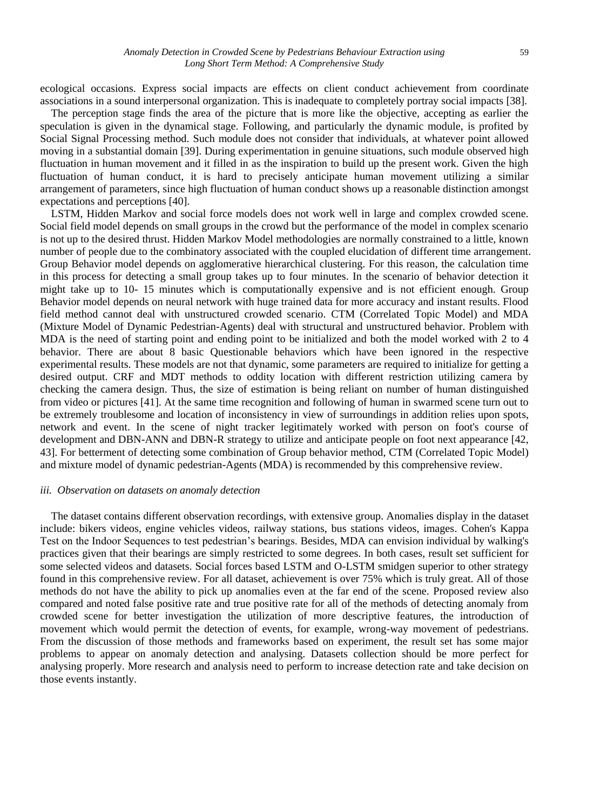ecological occasions. Express social impacts are effects on client conduct achievement from coordinate associations in a sound interpersonal organization. This is inadequate to completely portray social impacts [38].

The perception stage finds the area of the picture that is more like the objective, accepting as earlier the speculation is given in the dynamical stage. Following, and particularly the dynamic module, is profited by Social Signal Processing method. Such module does not consider that individuals, at whatever point allowed moving in a substantial domain [39]. During experimentation in genuine situations, such module observed high fluctuation in human movement and it filled in as the inspiration to build up the present work. Given the high fluctuation of human conduct, it is hard to precisely anticipate human movement utilizing a similar arrangement of parameters, since high fluctuation of human conduct shows up a reasonable distinction amongst expectations and perceptions [40].

LSTM, Hidden Markov and social force models does not work well in large and complex crowded scene. Social field model depends on small groups in the crowd but the performance of the model in complex scenario is not up to the desired thrust. Hidden Markov Model methodologies are normally constrained to a little, known number of people due to the combinatory associated with the coupled elucidation of different time arrangement. Group Behavior model depends on agglomerative hierarchical clustering. For this reason, the calculation time in this process for detecting a small group takes up to four minutes. In the scenario of behavior detection it might take up to 10- 15 minutes which is computationally expensive and is not efficient enough. Group Behavior model depends on neural network with huge trained data for more accuracy and instant results. Flood field method cannot deal with unstructured crowded scenario. CTM (Correlated Topic Model) and MDA (Mixture Model of Dynamic Pedestrian-Agents) deal with structural and unstructured behavior. Problem with MDA is the need of starting point and ending point to be initialized and both the model worked with 2 to 4 behavior. There are about 8 basic Questionable behaviors which have been ignored in the respective experimental results. These models are not that dynamic, some parameters are required to initialize for getting a desired output. CRF and MDT methods to oddity location with different restriction utilizing camera by checking the camera design. Thus, the size of estimation is being reliant on number of human distinguished from video or pictures [41]. At the same time recognition and following of human in swarmed scene turn out to be extremely troublesome and location of inconsistency in view of surroundings in addition relies upon spots, network and event. In the scene of night tracker legitimately worked with person on foot's course of development and DBN-ANN and DBN-R strategy to utilize and anticipate people on foot next appearance [42, 43]. For betterment of detecting some combination of Group behavior method, CTM (Correlated Topic Model) and mixture model of dynamic pedestrian-Agents (MDA) is recommended by this comprehensive review.

### *iii. Observation on datasets on anomaly detection*

The dataset contains different observation recordings, with extensive group. Anomalies display in the dataset include: bikers videos, engine vehicles videos, railway stations, bus stations videos, images. Cohen's Kappa Test on the Indoor Sequences to test pedestrian's bearings. Besides, MDA can envision individual by walking's practices given that their bearings are simply restricted to some degrees. In both cases, result set sufficient for some selected videos and datasets. Social forces based LSTM and O-LSTM smidgen superior to other strategy found in this comprehensive review. For all dataset, achievement is over 75% which is truly great. All of those methods do not have the ability to pick up anomalies even at the far end of the scene. Proposed review also compared and noted false positive rate and true positive rate for all of the methods of detecting anomaly from crowded scene for better investigation the utilization of more descriptive features, the introduction of movement which would permit the detection of events, for example, wrong-way movement of pedestrians. From the discussion of those methods and frameworks based on experiment, the result set has some major problems to appear on anomaly detection and analysing. Datasets collection should be more perfect for analysing properly. More research and analysis need to perform to increase detection rate and take decision on those events instantly.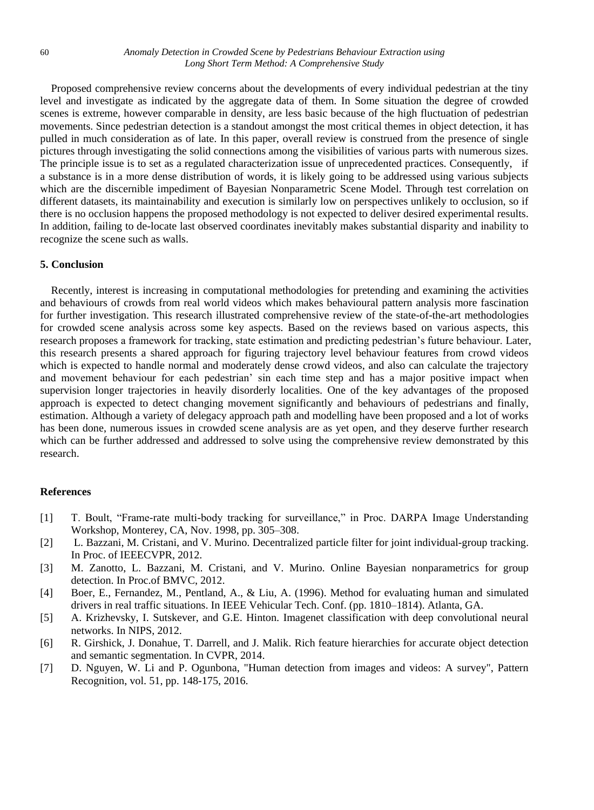Proposed comprehensive review concerns about the developments of every individual pedestrian at the tiny level and investigate as indicated by the aggregate data of them. In Some situation the degree of crowded scenes is extreme, however comparable in density, are less basic because of the high fluctuation of pedestrian movements. Since pedestrian detection is a standout amongst the most critical themes in object detection, it has pulled in much consideration as of late. In this paper, overall review is construed from the presence of single pictures through investigating the solid connections among the visibilities of various parts with numerous sizes. The principle issue is to set as a regulated characterization issue of unprecedented practices. Consequently, if a substance is in a more dense distribution of words, it is likely going to be addressed using various subjects which are the discernible impediment of Bayesian Nonparametric Scene Model. Through test correlation on different datasets, its maintainability and execution is similarly low on perspectives unlikely to occlusion, so if there is no occlusion happens the proposed methodology is not expected to deliver desired experimental results. In addition, failing to de-locate last observed coordinates inevitably makes substantial disparity and inability to recognize the scene such as walls.

### **5. Conclusion**

Recently, interest is increasing in computational methodologies for pretending and examining the activities and behaviours of crowds from real world videos which makes behavioural pattern analysis more fascination for further investigation. This research illustrated comprehensive review of the state-of-the-art methodologies for crowded scene analysis across some key aspects. Based on the reviews based on various aspects, this research proposes a framework for tracking, state estimation and predicting pedestrian's future behaviour. Later, this research presents a shared approach for figuring trajectory level behaviour features from crowd videos which is expected to handle normal and moderately dense crowd videos, and also can calculate the trajectory and movement behaviour for each pedestrian' sin each time step and has a major positive impact when supervision longer trajectories in heavily disorderly localities. One of the key advantages of the proposed approach is expected to detect changing movement significantly and behaviours of pedestrians and finally, estimation. Although a variety of delegacy approach path and modelling have been proposed and a lot of works has been done, numerous issues in crowded scene analysis are as yet open, and they deserve further research which can be further addressed and addressed to solve using the comprehensive review demonstrated by this research.

## **References**

- [1] T. Boult, "Frame-rate multi-body tracking for surveillance," in Proc. DARPA Image Understanding Workshop, Monterey, CA, Nov. 1998, pp. 305–308.
- [2] L. Bazzani, M. Cristani, and V. Murino. Decentralized particle filter for joint individual-group tracking. In Proc. of IEEECVPR, 2012.
- [3] M. Zanotto, L. Bazzani, M. Cristani, and V. Murino. Online Bayesian nonparametrics for group detection. In Proc.of BMVC, 2012.
- [4] Boer, E., Fernandez, M., Pentland, A., & Liu, A. (1996). Method for evaluating human and simulated drivers in real traffic situations. In IEEE Vehicular Tech. Conf. (pp. 1810–1814). Atlanta, GA.
- [5] A. Krizhevsky, I. Sutskever, and G.E. Hinton. Imagenet classification with deep convolutional neural networks. In NIPS, 2012.
- [6] R. Girshick, J. Donahue, T. Darrell, and J. Malik. Rich feature hierarchies for accurate object detection and semantic segmentation. In CVPR, 2014.
- [7] D. Nguyen, W. Li and P. Ogunbona, "Human detection from images and videos: A survey", Pattern Recognition, vol. 51, pp. 148-175, 2016.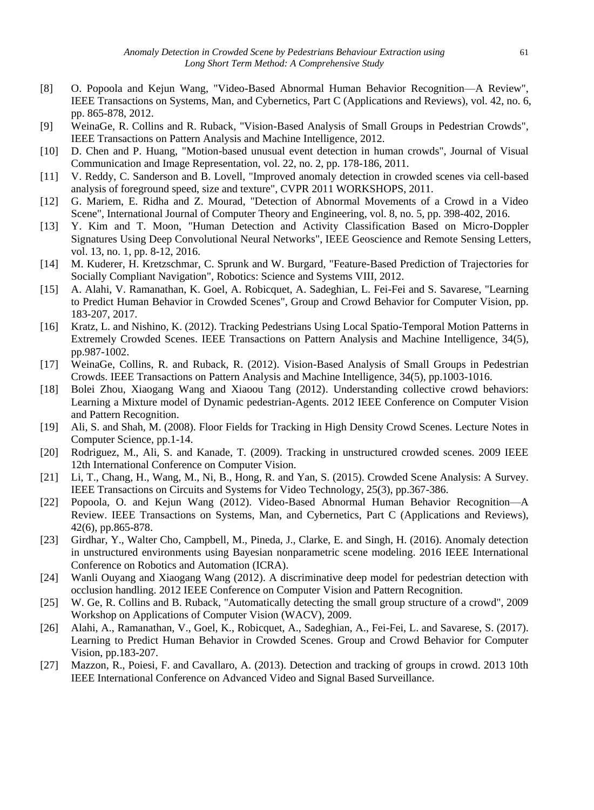- [8] O. Popoola and Kejun Wang, "Video-Based Abnormal Human Behavior Recognition—A Review", IEEE Transactions on Systems, Man, and Cybernetics, Part C (Applications and Reviews), vol. 42, no. 6, pp. 865-878, 2012.
- [9] WeinaGe, R. Collins and R. Ruback, "Vision-Based Analysis of Small Groups in Pedestrian Crowds", IEEE Transactions on Pattern Analysis and Machine Intelligence, 2012.
- [10] D. Chen and P. Huang, "Motion-based unusual event detection in human crowds", Journal of Visual Communication and Image Representation, vol. 22, no. 2, pp. 178-186, 2011.
- [11] V. Reddy, C. Sanderson and B. Lovell, "Improved anomaly detection in crowded scenes via cell-based analysis of foreground speed, size and texture", CVPR 2011 WORKSHOPS, 2011.
- [12] G. Mariem, E. Ridha and Z. Mourad, "Detection of Abnormal Movements of a Crowd in a Video Scene", International Journal of Computer Theory and Engineering, vol. 8, no. 5, pp. 398-402, 2016.
- [13] Y. Kim and T. Moon, "Human Detection and Activity Classification Based on Micro-Doppler Signatures Using Deep Convolutional Neural Networks", IEEE Geoscience and Remote Sensing Letters, vol. 13, no. 1, pp. 8-12, 2016.
- [14] M. Kuderer, H. Kretzschmar, C. Sprunk and W. Burgard, "Feature-Based Prediction of Trajectories for Socially Compliant Navigation", Robotics: Science and Systems VIII, 2012.
- [15] A. Alahi, V. Ramanathan, K. Goel, A. Robicquet, A. Sadeghian, L. Fei-Fei and S. Savarese, "Learning to Predict Human Behavior in Crowded Scenes", Group and Crowd Behavior for Computer Vision, pp. 183-207, 2017.
- [16] Kratz, L. and Nishino, K. (2012). Tracking Pedestrians Using Local Spatio-Temporal Motion Patterns in Extremely Crowded Scenes. IEEE Transactions on Pattern Analysis and Machine Intelligence, 34(5), pp.987-1002.
- [17] WeinaGe, Collins, R. and Ruback, R. (2012). Vision-Based Analysis of Small Groups in Pedestrian Crowds. IEEE Transactions on Pattern Analysis and Machine Intelligence, 34(5), pp.1003-1016.
- [18] Bolei Zhou, Xiaogang Wang and Xiaoou Tang (2012). Understanding collective crowd behaviors: Learning a Mixture model of Dynamic pedestrian-Agents. 2012 IEEE Conference on Computer Vision and Pattern Recognition.
- [19] Ali, S. and Shah, M. (2008). Floor Fields for Tracking in High Density Crowd Scenes. Lecture Notes in Computer Science, pp.1-14.
- [20] Rodriguez, M., Ali, S. and Kanade, T. (2009). Tracking in unstructured crowded scenes. 2009 IEEE 12th International Conference on Computer Vision.
- [21] Li, T., Chang, H., Wang, M., Ni, B., Hong, R. and Yan, S. (2015). Crowded Scene Analysis: A Survey. IEEE Transactions on Circuits and Systems for Video Technology, 25(3), pp.367-386.
- [22] Popoola, O. and Kejun Wang (2012). Video-Based Abnormal Human Behavior Recognition—A Review. IEEE Transactions on Systems, Man, and Cybernetics, Part C (Applications and Reviews), 42(6), pp.865-878.
- [23] Girdhar, Y., Walter Cho, Campbell, M., Pineda, J., Clarke, E. and Singh, H. (2016). Anomaly detection in unstructured environments using Bayesian nonparametric scene modeling. 2016 IEEE International Conference on Robotics and Automation (ICRA).
- [24] Wanli Ouyang and Xiaogang Wang (2012). A discriminative deep model for pedestrian detection with occlusion handling. 2012 IEEE Conference on Computer Vision and Pattern Recognition.
- [25] W. Ge, R. Collins and B. Ruback, "Automatically detecting the small group structure of a crowd", 2009 Workshop on Applications of Computer Vision (WACV), 2009.
- [26] Alahi, A., Ramanathan, V., Goel, K., Robicquet, A., Sadeghian, A., Fei-Fei, L. and Savarese, S. (2017). Learning to Predict Human Behavior in Crowded Scenes. Group and Crowd Behavior for Computer Vision, pp.183-207.
- [27] Mazzon, R., Poiesi, F. and Cavallaro, A. (2013). Detection and tracking of groups in crowd. 2013 10th IEEE International Conference on Advanced Video and Signal Based Surveillance.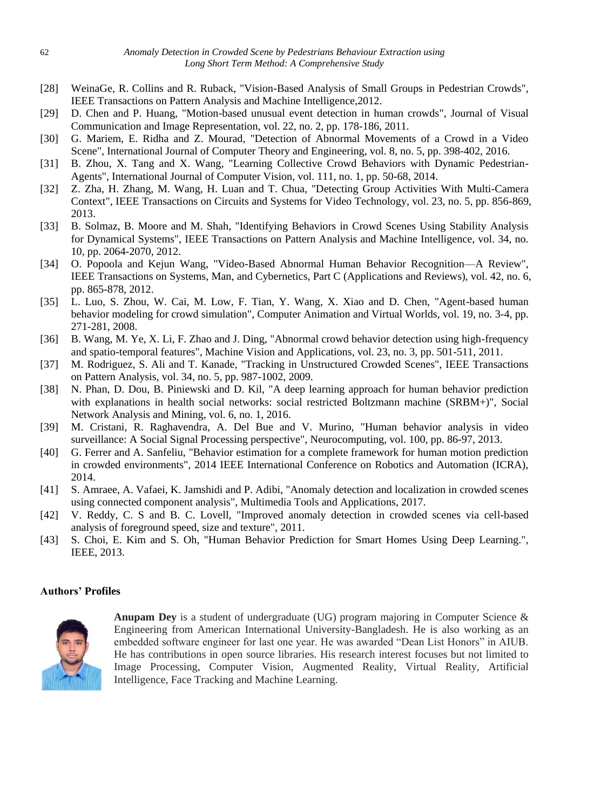- [28] WeinaGe, R. Collins and R. Ruback, "Vision-Based Analysis of Small Groups in Pedestrian Crowds", IEEE Transactions on Pattern Analysis and Machine Intelligence,2012.
- [29] D. Chen and P. Huang, "Motion-based unusual event detection in human crowds", Journal of Visual Communication and Image Representation, vol. 22, no. 2, pp. 178-186, 2011.
- [30] G. Mariem, E. Ridha and Z. Mourad, "Detection of Abnormal Movements of a Crowd in a Video Scene", International Journal of Computer Theory and Engineering, vol. 8, no. 5, pp. 398-402, 2016.
- [31] B. Zhou, X. Tang and X. Wang, "Learning Collective Crowd Behaviors with Dynamic Pedestrian-Agents", International Journal of Computer Vision, vol. 111, no. 1, pp. 50-68, 2014.
- [32] Z. Zha, H. Zhang, M. Wang, H. Luan and T. Chua, "Detecting Group Activities With Multi-Camera Context", IEEE Transactions on Circuits and Systems for Video Technology, vol. 23, no. 5, pp. 856-869, 2013.
- [33] B. Solmaz, B. Moore and M. Shah, "Identifying Behaviors in Crowd Scenes Using Stability Analysis for Dynamical Systems", IEEE Transactions on Pattern Analysis and Machine Intelligence, vol. 34, no. 10, pp. 2064-2070, 2012.
- [34] O. Popoola and Kejun Wang, "Video-Based Abnormal Human Behavior Recognition—A Review", IEEE Transactions on Systems, Man, and Cybernetics, Part C (Applications and Reviews), vol. 42, no. 6, pp. 865-878, 2012.
- [35] L. Luo, S. Zhou, W. Cai, M. Low, F. Tian, Y. Wang, X. Xiao and D. Chen, "Agent-based human behavior modeling for crowd simulation", Computer Animation and Virtual Worlds, vol. 19, no. 3-4, pp. 271-281, 2008.
- [36] B. Wang, M. Ye, X. Li, F. Zhao and J. Ding, "Abnormal crowd behavior detection using high-frequency and spatio-temporal features", Machine Vision and Applications, vol. 23, no. 3, pp. 501-511, 2011.
- [37] M. Rodriguez, S. Ali and T. Kanade, "Tracking in Unstructured Crowded Scenes", IEEE Transactions on Pattern Analysis, vol. 34, no. 5, pp. 987-1002, 2009.
- [38] N. Phan, D. Dou, B. Piniewski and D. Kil, "A deep learning approach for human behavior prediction with explanations in health social networks: social restricted Boltzmann machine (SRBM+)", Social Network Analysis and Mining, vol. 6, no. 1, 2016.
- [39] M. Cristani, R. Raghavendra, A. Del Bue and V. Murino, "Human behavior analysis in video surveillance: A Social Signal Processing perspective", Neurocomputing, vol. 100, pp. 86-97, 2013.
- [40] G. Ferrer and A. Sanfeliu, "Behavior estimation for a complete framework for human motion prediction in crowded environments", 2014 IEEE International Conference on Robotics and Automation (ICRA), 2014.
- [41] S. Amraee, A. Vafaei, K. Jamshidi and P. Adibi, "Anomaly detection and localization in crowded scenes using connected component analysis", Multimedia Tools and Applications, 2017.
- [42] V. Reddy, C. S and B. C. Lovell, "Improved anomaly detection in crowded scenes via cell-based analysis of foreground speed, size and texture", 2011.
- [43] S. Choi, E. Kim and S. Oh, "Human Behavior Prediction for Smart Homes Using Deep Learning.", IEEE, 2013.

## **Authors' Profiles**



**Anupam Dey** is a student of undergraduate (UG) program majoring in Computer Science & Engineering from American International University-Bangladesh. He is also working as an embedded software engineer for last one year. He was awarded "Dean List Honors" in AIUB. He has contributions in open source libraries. His research interest focuses but not limited to Image Processing, Computer Vision, Augmented Reality, Virtual Reality, Artificial Intelligence, Face Tracking and Machine Learning.